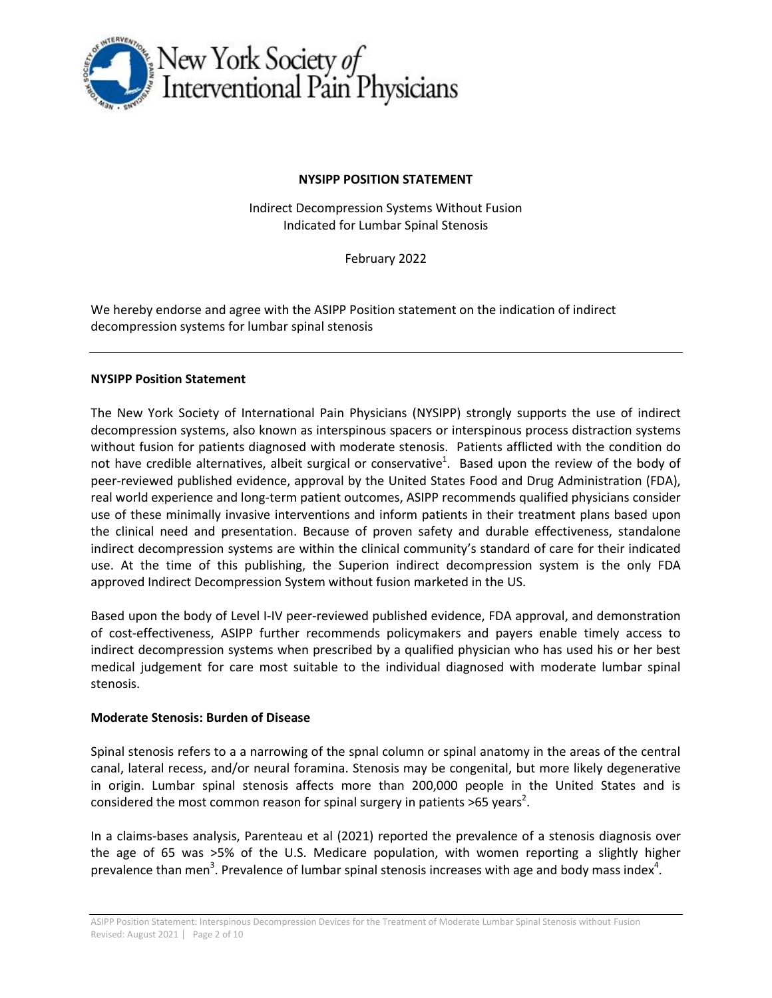

## **NYSIPP POSITION STATEMENT**

Indirect Decompression Systems Without Fusion Indicated for Lumbar Spinal Stenosis

February 2022

We hereby endorse and agree with the ASIPP Position statement on the indication of indirect decompression systems for lumbar spinal stenosis

## **NYSIPP Position Statement**

The New York Society of International Pain Physicians (NYSIPP) strongly supports the use of indirect decompression systems, also known as interspinous spacers or interspinous process distraction systems without fusion for patients diagnosed with moderate stenosis. Patients afflicted with the condition do not have credible alternatives, albeit surgical or conservative<sup>1</sup>. Based upon the review of the body of peer-reviewed published evidence, approval by the United States Food and Drug Administration (FDA), real world experience and long-term patient outcomes, ASIPP recommends qualified physicians consider use of these minimally invasive interventions and inform patients in their treatment plans based upon the clinical need and presentation. Because of proven safety and durable effectiveness, standalone indirect decompression systems are within the clinical community's standard of care for their indicated use. At the time of this publishing, the Superion indirect decompression system is the only FDA approved Indirect Decompression System without fusion marketed in the US.

Based upon the body of Level I-IV peer-reviewed published evidence, FDA approval, and demonstration of cost-effectiveness, ASIPP further recommends policymakers and payers enable timely access to indirect decompression systems when prescribed by a qualified physician who has used his or her best medical judgement for care most suitable to the individual diagnosed with moderate lumbar spinal stenosis.

## **Moderate Stenosis: Burden of Disease**

Spinal stenosis refers to a a narrowing of the spnal column or spinal anatomy in the areas of the central canal, lateral recess, and/or neural foramina. Stenosis may be congenital, but more likely degenerative in origin. Lumbar spinal stenosis affects more than 200,000 people in the United States and is considered the most common reason for spinal surgery in patients >65 years<sup>2</sup>.

In a claims-bases analysis, Parenteau et al (2021) reported the prevalence of a stenosis diagnosis over the age of 65 was >5% of the U.S. Medicare population, with women reporting a slightly higher prevalence than men<sup>3</sup>. Prevalence of lumbar spinal stenosis increases with age and body mass index<sup>4</sup>.

ASIPP Position Statement: Interspinous Decompression Devices for the Treatment of Moderate Lumbar Spinal Stenosis without Fusion Revised: August 2021 | Page 2 of 10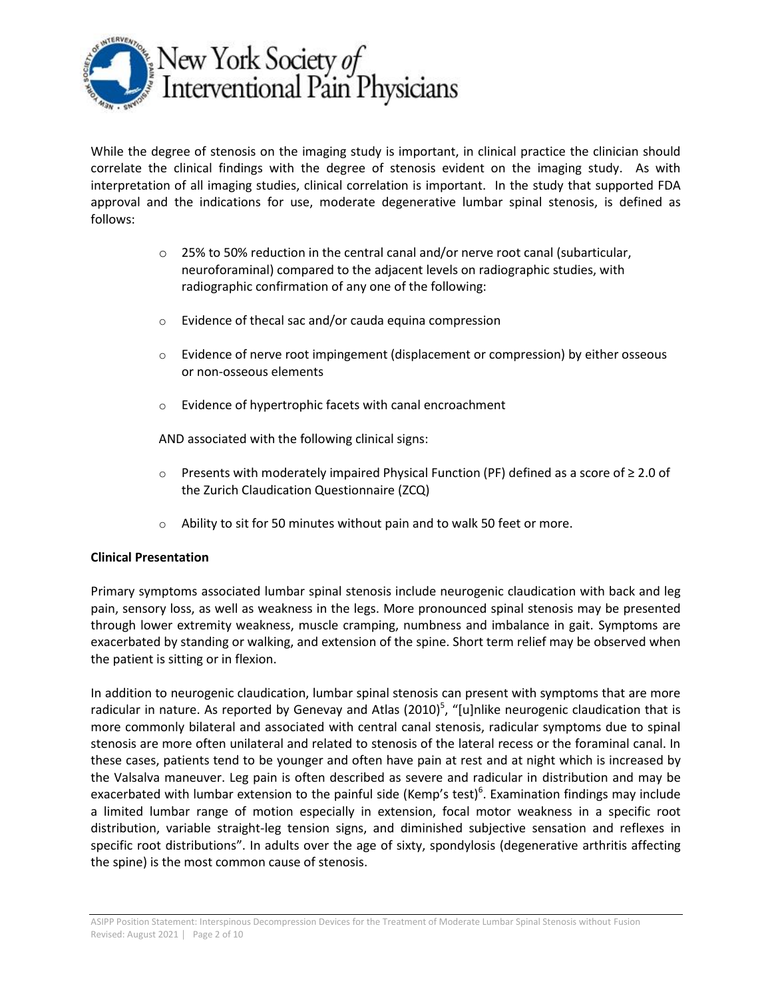

While the degree of stenosis on the imaging study is important, in clinical practice the clinician should correlate the clinical findings with the degree of stenosis evident on the imaging study. As with interpretation of all imaging studies, clinical correlation is important. In the study that supported FDA approval and the indications for use, moderate degenerative lumbar spinal stenosis, is defined as follows:

- $\circ$  25% to 50% reduction in the central canal and/or nerve root canal (subarticular, neuroforaminal) compared to the adjacent levels on radiographic studies, with radiographic confirmation of any one of the following:
- o Evidence of thecal sac and/or cauda equina compression
- $\circ$  Evidence of nerve root impingement (displacement or compression) by either osseous or non-osseous elements
- o Evidence of hypertrophic facets with canal encroachment

AND associated with the following clinical signs:

- o Presents with moderately impaired Physical Function (PF) defined as a score of ≥ 2.0 of the Zurich Claudication Questionnaire (ZCQ)
- o Ability to sit for 50 minutes without pain and to walk 50 feet or more.

## **Clinical Presentation**

Primary symptoms associated lumbar spinal stenosis include neurogenic claudication with back and leg pain, sensory loss, as well as weakness in the legs. More pronounced spinal stenosis may be presented through lower extremity weakness, muscle cramping, numbness and imbalance in gait. Symptoms are exacerbated by standing or walking, and extension of the spine. Short term relief may be observed when the patient is sitting or in flexion.

In addition to neurogenic claudication, lumbar spinal stenosis can present with symptoms that are more radicular in nature. As reported by Genevay and Atlas (2010)<sup>5</sup>, "[u]nlike neurogenic claudication that is more commonly bilateral and associated with central canal stenosis, radicular symptoms due to spinal stenosis are more often unilateral and related to stenosis of the lateral recess or the foraminal canal. In these cases, patients tend to be younger and often have pain at rest and at night which is increased by the Valsalva maneuver. Leg pain is often described as severe and radicular in distribution and may be exacerbated with lumbar extension to the painful side (Kemp's test)<sup>6</sup>. Examination findings may include a limited lumbar range of motion especially in extension, focal motor weakness in a specific root distribution, variable straight-leg tension signs, and diminished subjective sensation and reflexes in specific root distributions". In adults over the age of sixty, spondylosis (degenerative arthritis affecting the spine) is the most common cause of stenosis.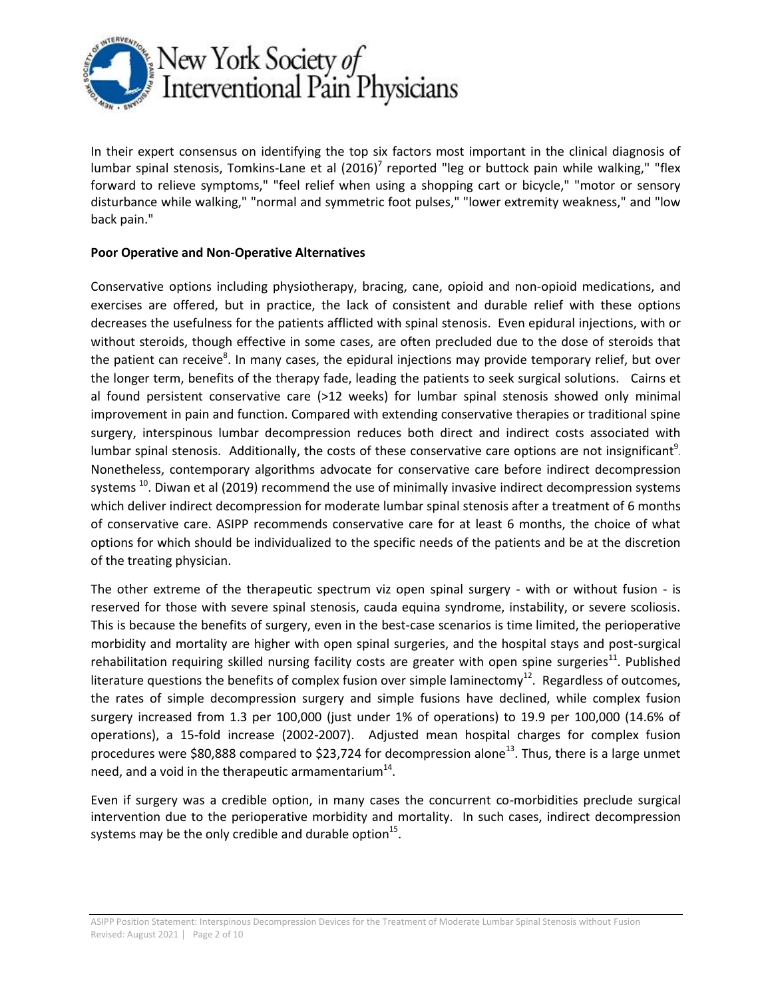

In their expert consensus on identifying the top six factors most important in the clinical diagnosis of lumbar spinal stenosis, Tomkins-Lane et al  $(2016)^7$  reported "leg or buttock pain while walking," "flex forward to relieve symptoms," "feel relief when using a shopping cart or bicycle," "motor or sensory disturbance while walking," "normal and symmetric foot pulses," "lower extremity weakness," and "low back pain."

# **Poor Operative and Non-Operative Alternatives**

Conservative options including physiotherapy, bracing, cane, opioid and non-opioid medications, and exercises are offered, but in practice, the lack of consistent and durable relief with these options decreases the usefulness for the patients afflicted with spinal stenosis. Even epidural injections, with or without steroids, though effective in some cases, are often precluded due to the dose of steroids that the patient can receive<sup>8</sup>. In many cases, the epidural injections may provide temporary relief, but over the longer term, benefits of the therapy fade, leading the patients to seek surgical solutions. Cairns et al found persistent conservative care (>12 weeks) for lumbar spinal stenosis showed only minimal improvement in pain and function. Compared with extending conservative therapies or traditional spine surgery, interspinous lumbar decompression reduces both direct and indirect costs associated with lumbar spinal stenosis. Additionally, the costs of these conservative care options are not insignificant<sup>9</sup>. Nonetheless, contemporary algorithms advocate for conservative care before indirect decompression systems <sup>10</sup>. Diwan et al (2019) recommend the use of minimally invasive indirect decompression systems which deliver indirect decompression for moderate lumbar spinal stenosis after a treatment of 6 months of conservative care. ASIPP recommends conservative care for at least 6 months, the choice of what options for which should be individualized to the specific needs of the patients and be at the discretion of the treating physician.

The other extreme of the therapeutic spectrum viz open spinal surgery - with or without fusion - is reserved for those with severe spinal stenosis, cauda equina syndrome, instability, or severe scoliosis. This is because the benefits of surgery, even in the best-case scenarios is time limited, the perioperative morbidity and mortality are higher with open spinal surgeries, and the hospital stays and post-surgical rehabilitation requiring skilled nursing facility costs are greater with open spine surgeries<sup>11</sup>. Published literature questions the benefits of complex fusion over simple laminectomy<sup>12</sup>. Regardless of outcomes, the rates of simple decompression surgery and simple fusions have declined, while complex fusion surgery increased from 1.3 per 100,000 (just under 1% of operations) to 19.9 per 100,000 (14.6% of operations), a 15-fold increase (2002-2007). Adjusted mean hospital charges for complex fusion procedures were \$80,888 compared to \$23,724 for decompression alone<sup>13</sup>. Thus, there is a large unmet need, and a void in the therapeutic armamentarium $^{14}$ .

Even if surgery was a credible option, in many cases the concurrent co-morbidities preclude surgical intervention due to the perioperative morbidity and mortality. In such cases, indirect decompression systems may be the only credible and durable option<sup>15</sup>.

ASIPP Position Statement: Interspinous Decompression Devices for the Treatment of Moderate Lumbar Spinal Stenosis without Fusion Revised: August 2021 | Page 2 of 10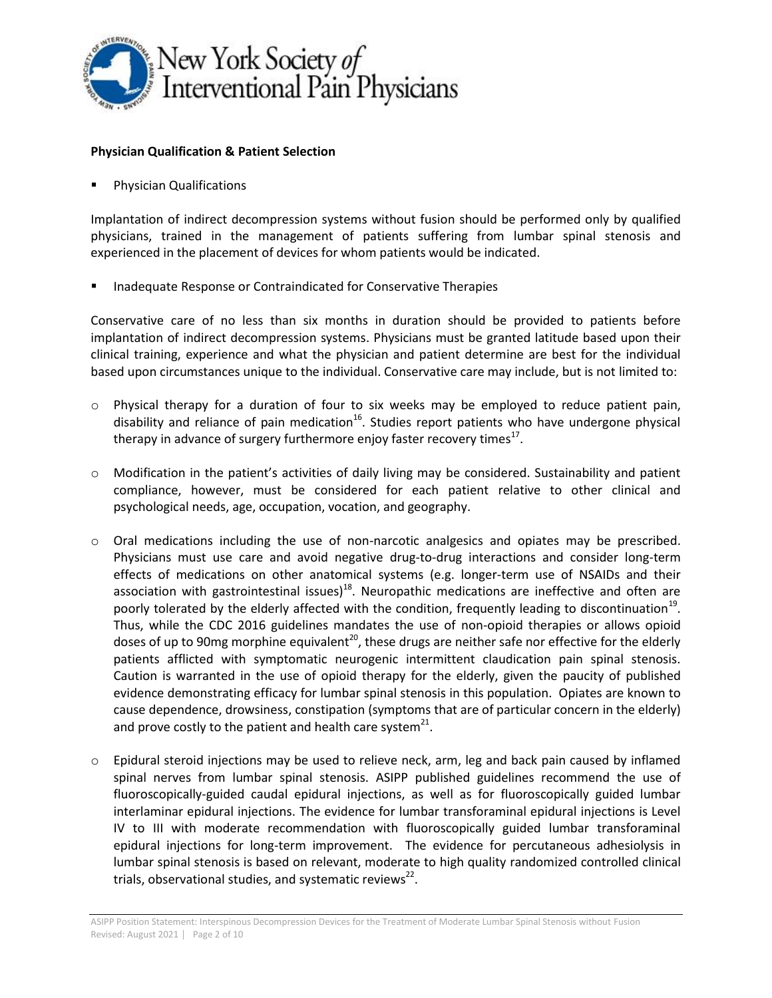

## **Physician Qualification & Patient Selection**

Physician Qualifications

Implantation of indirect decompression systems without fusion should be performed only by qualified physicians, trained in the management of patients suffering from lumbar spinal stenosis and experienced in the placement of devices for whom patients would be indicated.

Inadequate Response or Contraindicated for Conservative Therapies

Conservative care of no less than six months in duration should be provided to patients before implantation of indirect decompression systems. Physicians must be granted latitude based upon their clinical training, experience and what the physician and patient determine are best for the individual based upon circumstances unique to the individual. Conservative care may include, but is not limited to:

- $\circ$  Physical therapy for a duration of four to six weeks may be employed to reduce patient pain, disability and reliance of pain medication<sup>16</sup>. Studies report patients who have undergone physical therapy in advance of surgery furthermore enjoy faster recovery times $^{17}$ .
- o Modification in the patient's activities of daily living may be considered. Sustainability and patient compliance, however, must be considered for each patient relative to other clinical and psychological needs, age, occupation, vocation, and geography.
- o Oral medications including the use of non-narcotic analgesics and opiates may be prescribed. Physicians must use care and avoid negative drug-to-drug interactions and consider long-term effects of medications on other anatomical systems (e.g. longer-term use of NSAIDs and their association with gastrointestinal issues) $^{18}$ . Neuropathic medications are ineffective and often are poorly tolerated by the elderly affected with the condition, frequently leading to discontinuation<sup>19</sup>. Thus, while the CDC 2016 guidelines mandates the use of non-opioid therapies or allows opioid doses of up to 90mg morphine equivalent<sup>20</sup>, these drugs are neither safe nor effective for the elderly patients afflicted with symptomatic neurogenic intermittent claudication pain spinal stenosis. Caution is warranted in the use of opioid therapy for the elderly, given the paucity of published evidence demonstrating efficacy for lumbar spinal stenosis in this population. Opiates are known to cause dependence, drowsiness, constipation (symptoms that are of particular concern in the elderly) and prove costly to the patient and health care system<sup>21</sup>.
- $\circ$  Epidural steroid injections may be used to relieve neck, arm, leg and back pain caused by inflamed spinal nerves from lumbar spinal stenosis. ASIPP published guidelines recommend the use of fluoroscopically-guided caudal epidural injections, as well as for fluoroscopically guided lumbar interlaminar epidural injections. The evidence for lumbar transforaminal epidural injections is Level IV to III with moderate recommendation with fluoroscopically guided lumbar transforaminal epidural injections for long-term improvement. The evidence for percutaneous adhesiolysis in lumbar spinal stenosis is based on relevant, moderate to high quality randomized controlled clinical trials, observational studies, and systematic reviews<sup>22</sup>.

ASIPP Position Statement: Interspinous Decompression Devices for the Treatment of Moderate Lumbar Spinal Stenosis without Fusion Revised: August 2021 │ Page 2 of 10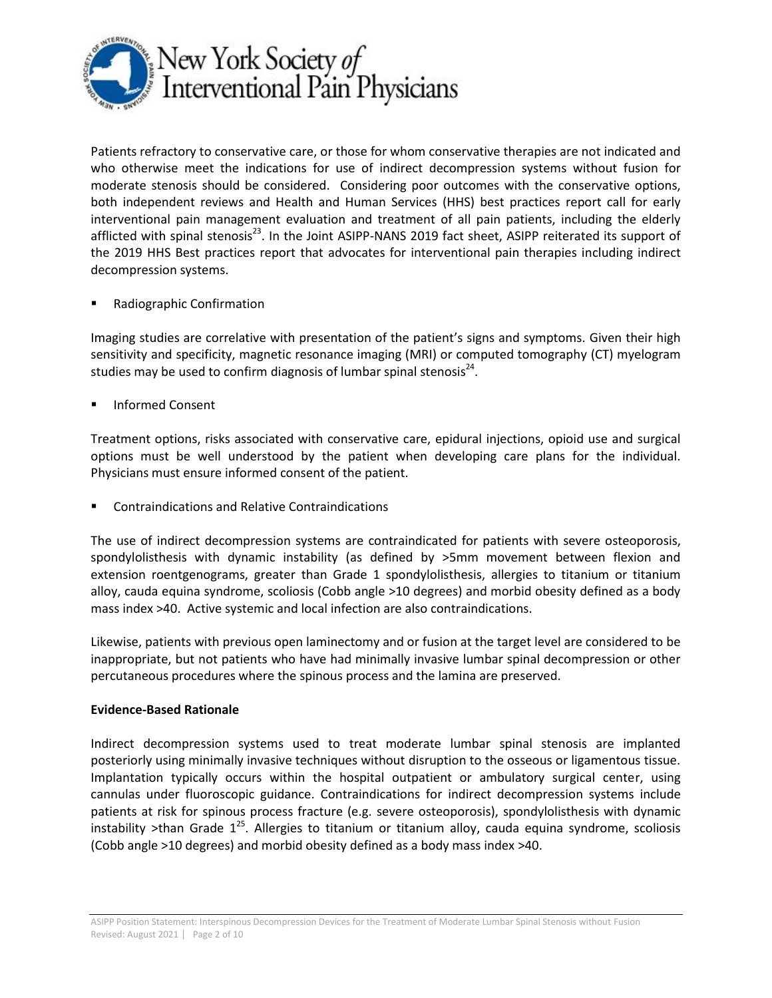

Patients refractory to conservative care, or those for whom conservative therapies are not indicated and who otherwise meet the indications for use of indirect decompression systems without fusion for moderate stenosis should be considered. Considering poor outcomes with the conservative options, both independent reviews and Health and Human Services (HHS) best practices report call for early interventional pain management evaluation and treatment of all pain patients, including the elderly afflicted with spinal stenosis<sup>23</sup>. In the Joint ASIPP-NANS 2019 fact sheet, ASIPP reiterated its support of the 2019 HHS Best practices report that advocates for interventional pain therapies including indirect decompression systems.

Radiographic Confirmation

Imaging studies are correlative with presentation of the patient's signs and symptoms. Given their high sensitivity and specificity, magnetic resonance imaging (MRI) or computed tomography (CT) myelogram studies may be used to confirm diagnosis of lumbar spinal stenosis $^{24}$ .

Informed Consent

Treatment options, risks associated with conservative care, epidural injections, opioid use and surgical options must be well understood by the patient when developing care plans for the individual. Physicians must ensure informed consent of the patient.

Contraindications and Relative Contraindications

The use of indirect decompression systems are contraindicated for patients with severe osteoporosis, spondylolisthesis with dynamic instability (as defined by >5mm movement between flexion and extension roentgenograms, greater than Grade 1 spondylolisthesis, allergies to titanium or titanium alloy, cauda equina syndrome, scoliosis (Cobb angle >10 degrees) and morbid obesity defined as a body mass index >40. Active systemic and local infection are also contraindications.

Likewise, patients with previous open laminectomy and or fusion at the target level are considered to be inappropriate, but not patients who have had minimally invasive lumbar spinal decompression or other percutaneous procedures where the spinous process and the lamina are preserved.

## **Evidence-Based Rationale**

Indirect decompression systems used to treat moderate lumbar spinal stenosis are implanted posteriorly using minimally invasive techniques without disruption to the osseous or ligamentous tissue. Implantation typically occurs within the hospital outpatient or ambulatory surgical center, using cannulas under fluoroscopic guidance. Contraindications for indirect decompression systems include patients at risk for spinous process fracture (e.g. severe osteoporosis), spondylolisthesis with dynamic instability >than Grade 1<sup>25</sup>. Allergies to titanium or titanium alloy, cauda equina syndrome, scoliosis (Cobb angle >10 degrees) and morbid obesity defined as a body mass index >40.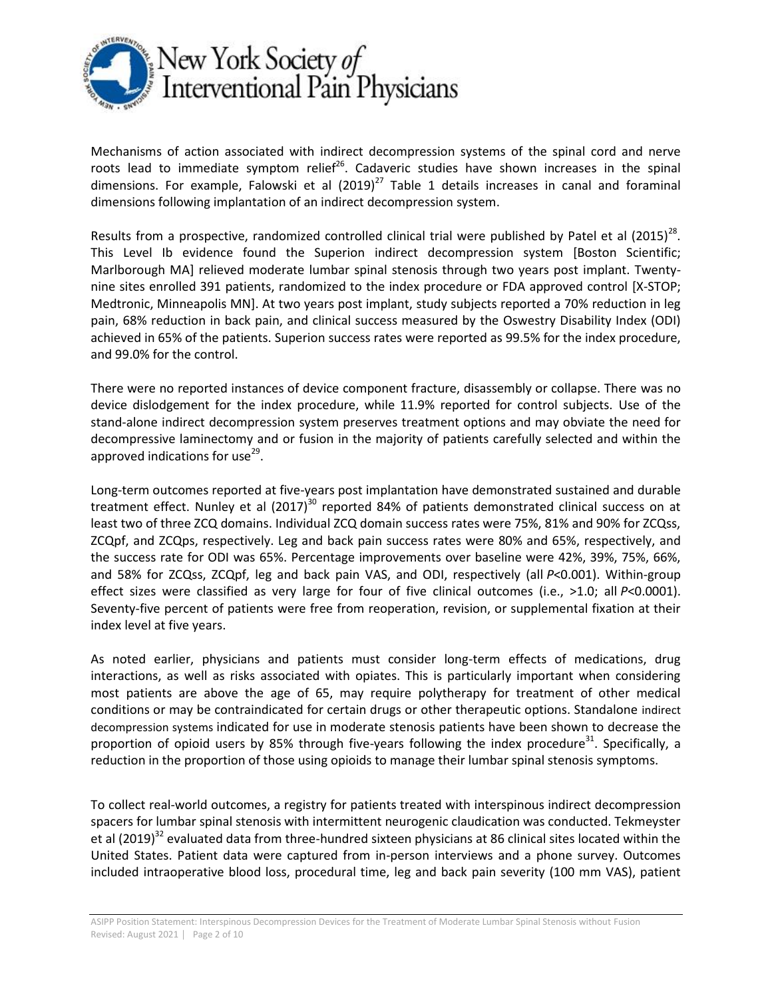

Mechanisms of action associated with indirect decompression systems of the spinal cord and nerve roots lead to immediate symptom relief<sup>26</sup>. Cadaveric studies have shown increases in the spinal dimensions. For example, Falowski et al  $(2019)^{27}$  Table 1 details increases in canal and foraminal dimensions following implantation of an indirect decompression system.

Results from a prospective, randomized controlled clinical trial were published by Patel et al  $(2015)^{28}$ . This Level Ib evidence found the Superion indirect decompression system [Boston Scientific; Marlborough MA] relieved moderate lumbar spinal stenosis through two years post implant. Twentynine sites enrolled 391 patients, randomized to the index procedure or FDA approved control [X-STOP; Medtronic, Minneapolis MN]. At two years post implant, study subjects reported a 70% reduction in leg pain, 68% reduction in back pain, and clinical success measured by the Oswestry Disability Index (ODI) achieved in 65% of the patients. Superion success rates were reported as 99.5% for the index procedure, and 99.0% for the control.

There were no reported instances of device component fracture, disassembly or collapse. There was no device dislodgement for the index procedure, while 11.9% reported for control subjects. Use of the stand-alone indirect decompression system preserves treatment options and may obviate the need for decompressive laminectomy and or fusion in the majority of patients carefully selected and within the approved indications for use<sup>29</sup>.

Long-term outcomes reported at five-years post implantation have demonstrated sustained and durable treatment effect. Nunley et al  $(2017)^{30}$  reported 84% of patients demonstrated clinical success on at least two of three ZCQ domains. Individual ZCQ domain success rates were 75%, 81% and 90% for ZCQss, ZCQpf, and ZCQps, respectively. Leg and back pain success rates were 80% and 65%, respectively, and the success rate for ODI was 65%. Percentage improvements over baseline were 42%, 39%, 75%, 66%, and 58% for ZCQss, ZCQpf, leg and back pain VAS, and ODI, respectively (all *P*<0.001). Within-group effect sizes were classified as very large for four of five clinical outcomes (i.e., >1.0; all *P*<0.0001). Seventy-five percent of patients were free from reoperation, revision, or supplemental fixation at their index level at five years.

As noted earlier, physicians and patients must consider long-term effects of medications, drug interactions, as well as risks associated with opiates. This is particularly important when considering most patients are above the age of 65, may require polytherapy for treatment of other medical conditions or may be contraindicated for certain drugs or other therapeutic options. Standalone indirect decompression systems indicated for use in moderate stenosis patients have been shown to decrease the proportion of opioid users by 85% through five-years following the index procedure<sup>31</sup>. Specifically, a reduction in the proportion of those using opioids to manage their lumbar spinal stenosis symptoms.

To collect real-world outcomes, a registry for patients treated with interspinous indirect decompression spacers for lumbar spinal stenosis with intermittent neurogenic claudication was conducted. Tekmeyster et al (2019)<sup>32</sup> evaluated data from three-hundred sixteen physicians at 86 clinical sites located within the United States. Patient data were captured from in-person interviews and a phone survey. Outcomes included intraoperative blood loss, procedural time, leg and back pain severity (100 mm VAS), patient

ASIPP Position Statement: Interspinous Decompression Devices for the Treatment of Moderate Lumbar Spinal Stenosis without Fusion Revised: August 2021 | Page 2 of 10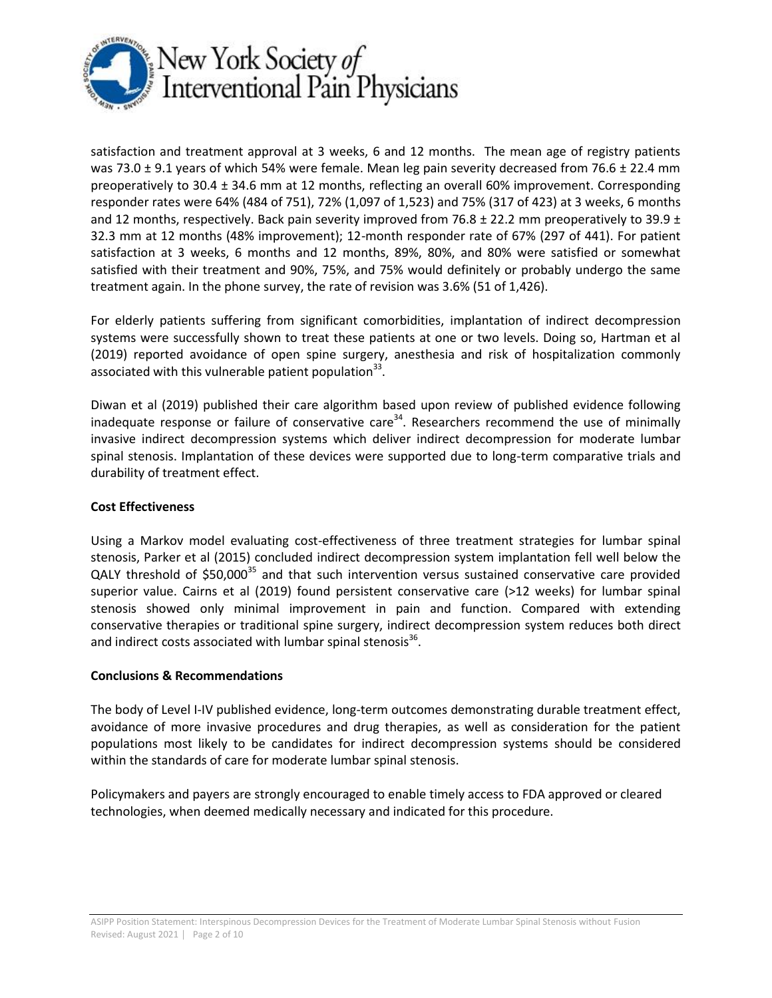

satisfaction and treatment approval at 3 weeks, 6 and 12 months. The mean age of registry patients was 73.0  $\pm$  9.1 years of which 54% were female. Mean leg pain severity decreased from 76.6  $\pm$  22.4 mm preoperatively to 30.4 ± 34.6 mm at 12 months, reflecting an overall 60% improvement. Corresponding responder rates were 64% (484 of 751), 72% (1,097 of 1,523) and 75% (317 of 423) at 3 weeks, 6 months and 12 months, respectively. Back pain severity improved from 76.8  $\pm$  22.2 mm preoperatively to 39.9  $\pm$ 32.3 mm at 12 months (48% improvement); 12-month responder rate of 67% (297 of 441). For patient satisfaction at 3 weeks, 6 months and 12 months, 89%, 80%, and 80% were satisfied or somewhat satisfied with their treatment and 90%, 75%, and 75% would definitely or probably undergo the same treatment again. In the phone survey, the rate of revision was 3.6% (51 of 1,426).

For elderly patients suffering from significant comorbidities, implantation of indirect decompression systems were successfully shown to treat these patients at one or two levels. Doing so, Hartman et al (2019) reported avoidance of open spine surgery, anesthesia and risk of hospitalization commonly associated with this vulnerable patient population $^{33}$ .

Diwan et al (2019) published their care algorithm based upon review of published evidence following inadequate response or failure of conservative care<sup>34</sup>. Researchers recommend the use of minimally invasive indirect decompression systems which deliver indirect decompression for moderate lumbar spinal stenosis. Implantation of these devices were supported due to long-term comparative trials and durability of treatment effect.

# **Cost Effectiveness**

Using a Markov model evaluating cost-effectiveness of three treatment strategies for lumbar spinal stenosis, Parker et al (2015) concluded indirect decompression system implantation fell well below the QALY threshold of \$50,000<sup>35</sup> and that such intervention versus sustained conservative care provided superior value. Cairns et al (2019) found persistent conservative care (>12 weeks) for lumbar spinal stenosis showed only minimal improvement in pain and function. Compared with extending conservative therapies or traditional spine surgery, indirect decompression system reduces both direct and indirect costs associated with lumbar spinal stenosis<sup>36</sup>.

## **Conclusions & Recommendations**

The body of Level I-IV published evidence, long-term outcomes demonstrating durable treatment effect, avoidance of more invasive procedures and drug therapies, as well as consideration for the patient populations most likely to be candidates for indirect decompression systems should be considered within the standards of care for moderate lumbar spinal stenosis.

Policymakers and payers are strongly encouraged to enable timely access to FDA approved or cleared technologies, when deemed medically necessary and indicated for this procedure.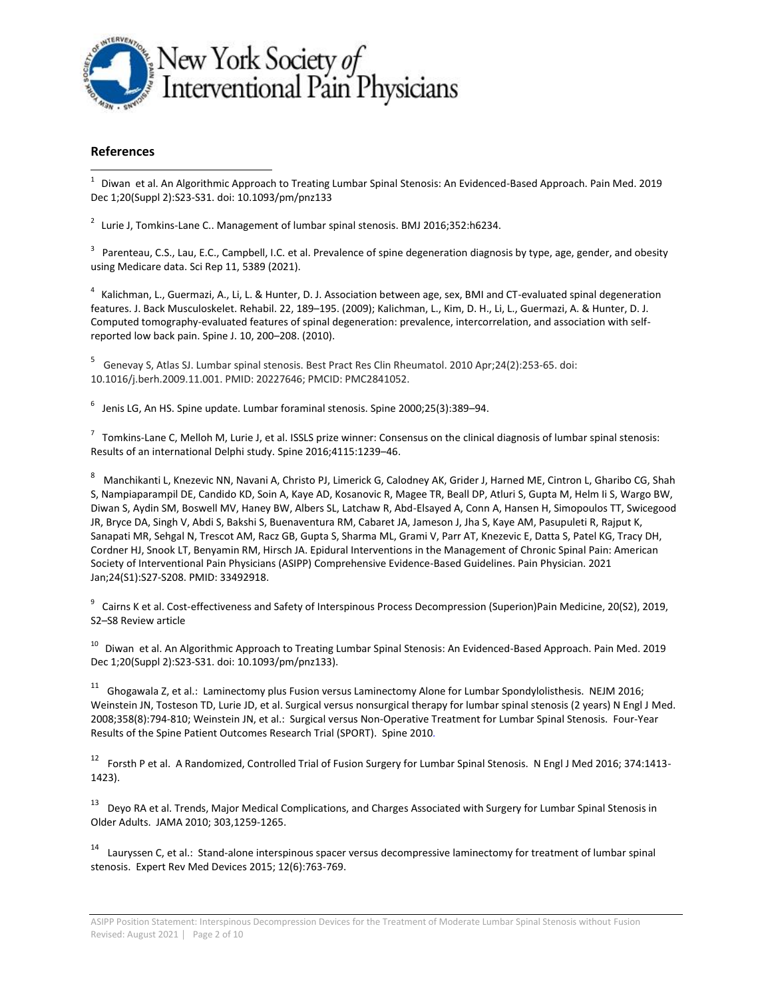

### **References**

 1 Diwan et al. An Algorithmic Approach to Treating Lumbar Spinal Stenosis: An Evidenced-Based Approach. Pain Med. 2019 Dec 1;20(Suppl 2):S23-S31. doi: 10.1093/pm/pnz133

 $^2$  Lurie J, Tomkins-Lane C.. Management of lumbar spinal stenosis. BMJ 2016;352:h6234.

<sup>3</sup> Parenteau, C.S., Lau, E.C., Campbell, I.C. et al. Prevalence of spine degeneration diagnosis by type, age, gender, and obesity using Medicare data. Sci Rep 11, 5389 (2021).

<sup>4</sup> Kalichman, L., Guermazi, A., Li, L. & Hunter, D. J. Association between age, sex, BMI and CT-evaluated spinal degeneration features. J. Back Musculoskelet. Rehabil. 22, 189–195. (2009); Kalichman, L., Kim, D. H., Li, L., Guermazi, A. & Hunter, D. J. Computed tomography-evaluated features of spinal degeneration: prevalence, intercorrelation, and association with selfreported low back pain. Spine J. 10, 200–208. (2010).

5 Genevay S, Atlas SJ. Lumbar spinal stenosis. Best Pract Res Clin Rheumatol. 2010 Apr;24(2):253-65. doi: 10.1016/j.berh.2009.11.001. PMID: 20227646; PMCID: PMC2841052.

 $^6$  Jenis LG, An HS. Spine update. Lumbar foraminal stenosis. Spine 2000;25(3):389–94.

 $^7$  Tomkins-Lane C, Melloh M, Lurie J, et al. ISSLS prize winner: Consensus on the clinical diagnosis of lumbar spinal stenosis: Results of an international Delphi study. Spine 2016;4115:1239–46.

<sup>8</sup> Manchikanti L, Knezevic NN, Navani A, Christo PJ, Limerick G, Calodney AK, Grider J, Harned ME, Cintron L, Gharibo CG, Shah S, Nampiaparampil DE, Candido KD, Soin A, Kaye AD, Kosanovic R, Magee TR, Beall DP, Atluri S, Gupta M, Helm Ii S, Wargo BW, Diwan S, Aydin SM, Boswell MV, Haney BW, Albers SL, Latchaw R, Abd-Elsayed A, Conn A, Hansen H, Simopoulos TT, Swicegood JR, Bryce DA, Singh V, Abdi S, Bakshi S, Buenaventura RM, Cabaret JA, Jameson J, Jha S, Kaye AM, Pasupuleti R, Rajput K, Sanapati MR, Sehgal N, Trescot AM, Racz GB, Gupta S, Sharma ML, Grami V, Parr AT, Knezevic E, Datta S, Patel KG, Tracy DH, Cordner HJ, Snook LT, Benyamin RM, Hirsch JA. Epidural Interventions in the Management of Chronic Spinal Pain: American Society of Interventional Pain Physicians (ASIPP) Comprehensive Evidence-Based Guidelines. Pain Physician. 2021 Jan;24(S1):S27-S208. PMID: 33492918.

 $^9$  Cairns K et al. Cost-effectiveness and Safety of Interspinous Process Decompression (Superion)Pain Medicine, 20(S2), 2019, S2–S8 Review article

<sup>10</sup> Diwan et al. An Algorithmic Approach to Treating Lumbar Spinal Stenosis: An Evidenced-Based Approach. Pain Med. 2019 Dec 1;20(Suppl 2):S23-S31. doi: 10.1093/pm/pnz133).

<sup>11</sup> Ghogawala Z, et al.: Laminectomy plus Fusion versus Laminectomy Alone for Lumbar Spondylolisthesis. NEJM 2016; Weinstein JN, Tosteson TD, Lurie JD, et al. Surgical versus nonsurgical therapy for lumbar spinal stenosis (2 years) N Engl J Med. 2008;358(8):794-810; Weinstein JN, et al.: Surgical versus Non-Operative Treatment for Lumbar Spinal Stenosis. Four-Year Results of the Spine Patient Outcomes Research Trial (SPORT). Spine 2010*.*

<sup>12</sup> Forsth P et al. A Randomized, Controlled Trial of Fusion Surgery for Lumbar Spinal Stenosis. N Engl J Med 2016; 374:1413-1423).

<sup>13</sup> Deyo RA et al. Trends, Major Medical Complications, and Charges Associated with Surgery for Lumbar Spinal Stenosis in Older Adults. JAMA 2010; 303,1259-1265.

<sup>14</sup> Lauryssen C, et al.: Stand-alone interspinous spacer versus decompressive laminectomy for treatment of lumbar spinal stenosis. Expert Rev Med Devices 2015; 12(6):763-769.

ASIPP Position Statement: Interspinous Decompression Devices for the Treatment of Moderate Lumbar Spinal Stenosis without Fusion Revised: August 2021 │ Page 2 of 10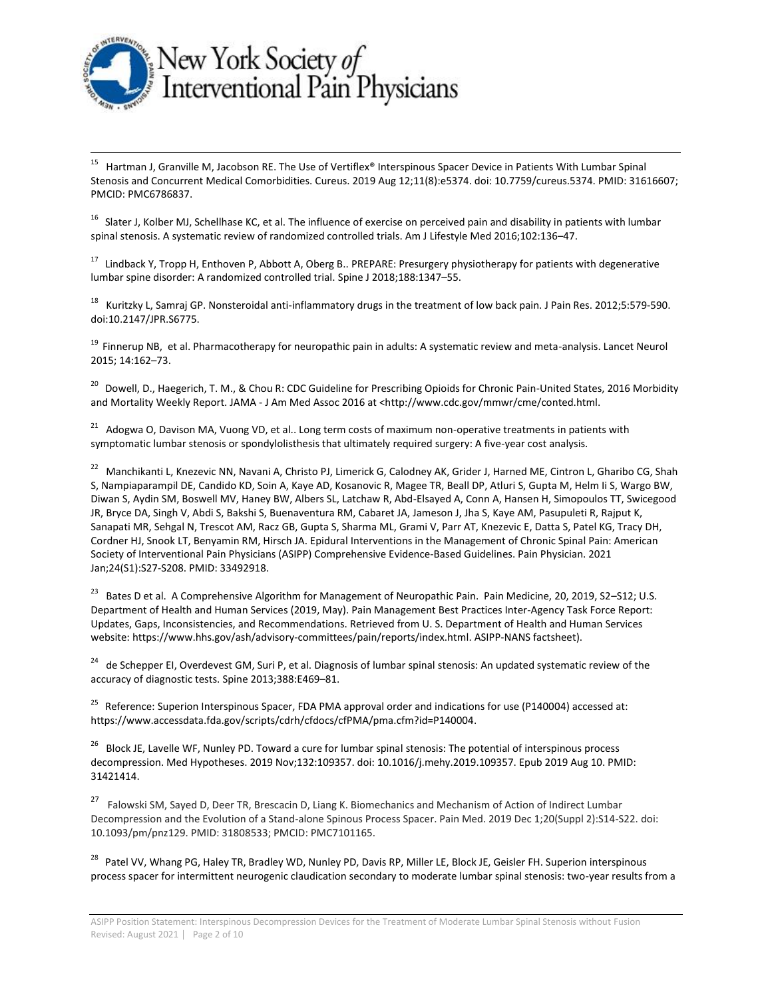

l

15 Hartman J, Granville M, Jacobson RE. The Use of Vertiflex® Interspinous Spacer Device in Patients With Lumbar Spinal Stenosis and Concurrent Medical Comorbidities. Cureus. 2019 Aug 12;11(8):e5374. doi: 10.7759/cureus.5374. PMID: 31616607; PMCID: PMC6786837.

<sup>16</sup> Slater J, Kolber MJ, Schellhase KC, et al. The influence of exercise on perceived pain and disability in patients with lumbar spinal stenosis. A systematic review of randomized controlled trials. Am J Lifestyle Med 2016;102:136–47.

<sup>17</sup> Lindback Y, Tropp H, Enthoven P, Abbott A, Oberg B.. PREPARE: Presurgery physiotherapy for patients with degenerative lumbar spine disorder: A randomized controlled trial. Spine J 2018;188:1347–55.

<sup>18</sup> Kuritzky L, Samraj GP. Nonsteroidal anti-inflammatory drugs in the treatment of low back pain. J Pain Res. 2012;5:579-590. doi:10.2147/JPR.S6775.

<sup>19</sup> Finnerup NB, et al. Pharmacotherapy for neuropathic pain in adults: A systematic review and meta-analysis. Lancet Neurol 2015; 14:162–73.

<sup>20</sup> Dowell, D., Haegerich, T. M., & Chou R: CDC Guideline for Prescribing Opioids for Chronic Pain-United States, 2016 Morbidity and Mortality Weekly Report. JAMA - J Am Med Assoc 2016 at <http://www.cdc.gov/mmwr/cme/conted.html.

<sup>21</sup> Adogwa O, Davison MA, Vuong VD, et al.. Long term costs of maximum non-operative treatments in patients with symptomatic lumbar stenosis or spondylolisthesis that ultimately required surgery: A five-year cost analysis.

<sup>22</sup> Manchikanti L, Knezevic NN, Navani A, Christo PJ, Limerick G, Calodney AK, Grider J, Harned ME, Cintron L, Gharibo CG, Shah S, Nampiaparampil DE, Candido KD, Soin A, Kaye AD, Kosanovic R, Magee TR, Beall DP, Atluri S, Gupta M, Helm Ii S, Wargo BW, Diwan S, Aydin SM, Boswell MV, Haney BW, Albers SL, Latchaw R, Abd-Elsayed A, Conn A, Hansen H, Simopoulos TT, Swicegood JR, Bryce DA, Singh V, Abdi S, Bakshi S, Buenaventura RM, Cabaret JA, Jameson J, Jha S, Kaye AM, Pasupuleti R, Rajput K, Sanapati MR, Sehgal N, Trescot AM, Racz GB, Gupta S, Sharma ML, Grami V, Parr AT, Knezevic E, Datta S, Patel KG, Tracy DH, Cordner HJ, Snook LT, Benyamin RM, Hirsch JA. Epidural Interventions in the Management of Chronic Spinal Pain: American Society of Interventional Pain Physicians (ASIPP) Comprehensive Evidence-Based Guidelines. Pain Physician. 2021 Jan;24(S1):S27-S208. PMID: 33492918.

<sup>23</sup> Bates D et al. A Comprehensive Algorithm for Management of Neuropathic Pain. Pain Medicine, 20, 2019, S2–S12; U.S. Department of Health and Human Services (2019, May). Pain Management Best Practices Inter-Agency Task Force Report: Updates, Gaps, Inconsistencies, and Recommendations. Retrieved from U. S. Department of Health and Human Services website: [https://www.hhs.gov/ash/advisory-committees/pain/reports/index.html.](about:blank) ASIPP-NANS factsheet).

<sup>24</sup> de Schepper EI, Overdevest GM, Suri P, et al. Diagnosis of lumbar spinal stenosis: An updated systematic review of the accuracy of diagnostic tests. Spine 2013;388:E469–81.

<sup>25</sup> Reference: Superion Interspinous Spacer, FDA PMA approval order and indications for use (P140004) accessed at: [https://www.accessdata.fda.gov/scripts/cdrh/cfdocs/cfPMA/pma.cfm?id=P140004.](about:blank)

<sup>26</sup> Block JE, Lavelle WF, Nunley PD. Toward a cure for lumbar spinal stenosis: The potential of interspinous process decompression. Med Hypotheses. 2019 Nov;132:109357. doi: 10.1016/j.mehy.2019.109357. Epub 2019 Aug 10. PMID: 31421414.

27 Falowski SM, Sayed D, Deer TR, Brescacin D, Liang K. Biomechanics and Mechanism of Action of Indirect Lumbar Decompression and the Evolution of a Stand-alone Spinous Process Spacer. Pain Med. 2019 Dec 1;20(Suppl 2):S14-S22. doi: 10.1093/pm/pnz129. PMID: 31808533; PMCID: PMC7101165.

<sup>28</sup> Patel VV, Whang PG, Haley TR, Bradley WD, Nunley PD, Davis RP, Miller LE, Block JE, Geisler FH. Superion interspinous process spacer for intermittent neurogenic claudication secondary to moderate lumbar spinal stenosis: two-year results from a

ASIPP Position Statement: Interspinous Decompression Devices for the Treatment of Moderate Lumbar Spinal Stenosis without Fusion Revised: August 2021 │ Page 2 of 10